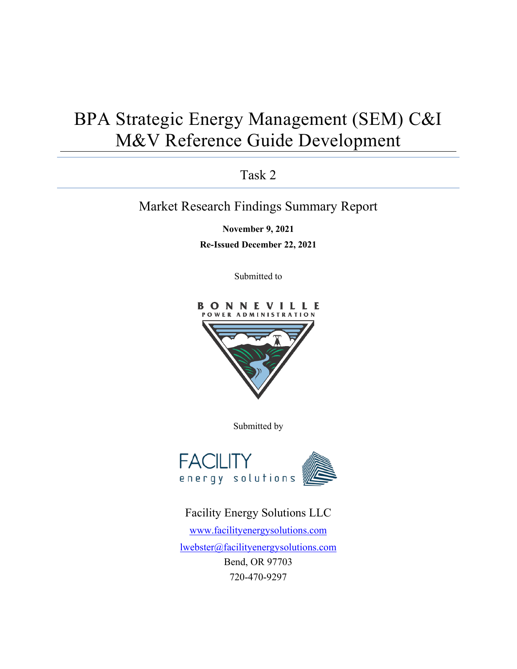# BPA Strategic Energy Management (SEM) C&I M&V Reference Guide Development

Task 2

Market Research Findings Summary Report

**November 9, 2021**

**Re-Issued December 22, 2021**

Submitted to



Submitted by



### Facility Energy Solutions LLC

[www.facilityenergysolutions.com](http://www.facilityenergysolutions.com/) lwebster@facilityenergysolutions.com Bend, OR 97703 720-470-9297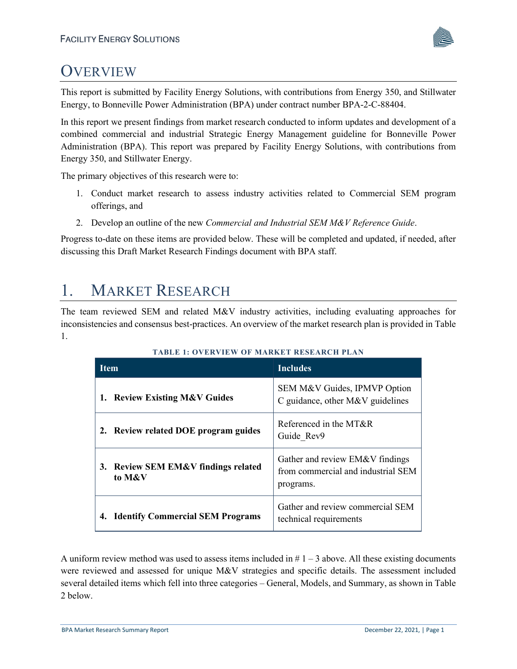

## **OVERVIEW**

This report is submitted by Facility Energy Solutions, with contributions from Energy 350, and Stillwater Energy, to Bonneville Power Administration (BPA) under contract number BPA-2-C-88404.

In this report we present findings from market research conducted to inform updates and development of a combined commercial and industrial Strategic Energy Management guideline for Bonneville Power Administration (BPA). This report was prepared by Facility Energy Solutions, with contributions from Energy 350, and Stillwater Energy.

The primary objectives of this research were to:

- 1. Conduct market research to assess industry activities related to Commercial SEM program offerings, and
- 2. Develop an outline of the new *Commercial and Industrial SEM M&V Reference Guide*.

Progress to-date on these items are provided below. These will be completed and updated, if needed, after discussing this Draft Market Research Findings document with BPA staff.

# 1. MARKET RESEARCH

The team reviewed SEM and related M&V industry activities, including evaluating approaches for inconsistencies and consensus best-practices. An overview of the market research plan is provided in Table 1.

| <b>Item</b> |                                               | <b>Includes</b>                                                                    |  |
|-------------|-----------------------------------------------|------------------------------------------------------------------------------------|--|
|             | 1. Review Existing M&V Guides                 | SEM M&V Guides, IPMVP Option<br>C guidance, other M&V guidelines                   |  |
|             | 2. Review related DOE program guides          | Referenced in the MT&R<br>Guide Rev9                                               |  |
|             | 3. Review SEM EM&V findings related<br>to M&V | Gather and review EM&V findings<br>from commercial and industrial SEM<br>programs. |  |
| 4.          | <b>Identify Commercial SEM Programs</b>       | Gather and review commercial SEM<br>technical requirements                         |  |

### **TABLE 1: OVERVIEW OF MARKET RESEARCH PLAN**

A uniform review method was used to assess items included in  $# 1 - 3$  above. All these existing documents were reviewed and assessed for unique M&V strategies and specific details. The assessment included several detailed items which fell into three categories – General, Models, and Summary, as shown in Table 2 below.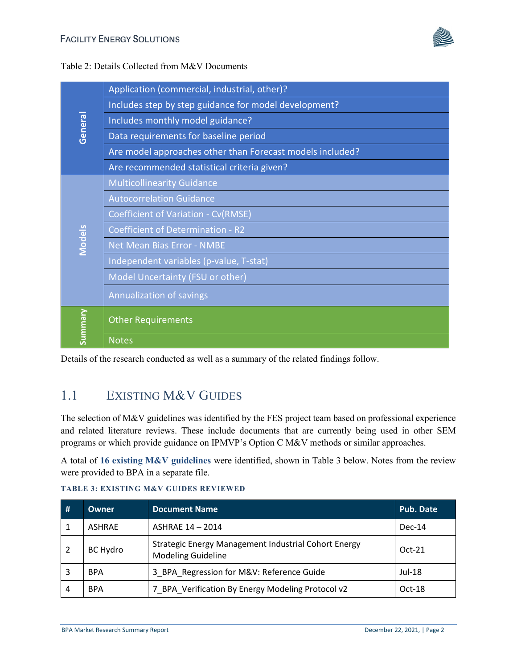### Table 2: Details Collected from M&V Documents

|                | Application (commercial, industrial, other)?              |
|----------------|-----------------------------------------------------------|
|                | Includes step by step guidance for model development?     |
|                | Includes monthly model guidance?                          |
| General        | Data requirements for baseline period                     |
|                | Are model approaches other than Forecast models included? |
|                | Are recommended statistical criteria given?               |
|                | <b>Multicollinearity Guidance</b>                         |
|                | <b>Autocorrelation Guidance</b>                           |
|                | Coefficient of Variation - Cv(RMSE)                       |
|                | <b>Coefficient of Determination - R2</b>                  |
| <b>Models</b>  | Net Mean Bias Error - NMBE                                |
|                | Independent variables (p-value, T-stat)                   |
|                | Model Uncertainty (FSU or other)                          |
|                | Annualization of savings                                  |
| <u>Summary</u> | <b>Other Requirements</b>                                 |
|                | <b>Notes</b>                                              |

Details of the research conducted as well as a summary of the related findings follow.

## 1.1 EXISTING M&V GUIDES

The selection of M&V guidelines was identified by the FES project team based on professional experience and related literature reviews. These include documents that are currently being used in other SEM programs or which provide guidance on IPMVP's Option C M&V methods or similar approaches.

<span id="page-2-0"></span>A total of **16 existing M&V guidelines** were identified, shown in Table 3 below. Notes from the review were provided to BPA in a separate file.

| # | Owner           | <b>Document Name</b>                                                              | <b>Pub. Date</b> |
|---|-----------------|-----------------------------------------------------------------------------------|------------------|
|   | <b>ASHRAE</b>   | ASHRAE 14 - 2014                                                                  | Dec-14           |
|   | <b>BC Hydro</b> | Strategic Energy Management Industrial Cohort Energy<br><b>Modeling Guideline</b> | $Oct-21$         |
| 3 | <b>BPA</b>      | 3 BPA Regression for M&V: Reference Guide                                         | Jul-18           |
| 4 | <b>BPA</b>      | 7_BPA_Verification By Energy Modeling Protocol v2                                 | $Oct-18$         |

### **TABLE 3: EXISTING M&V GUIDES REVIEWED**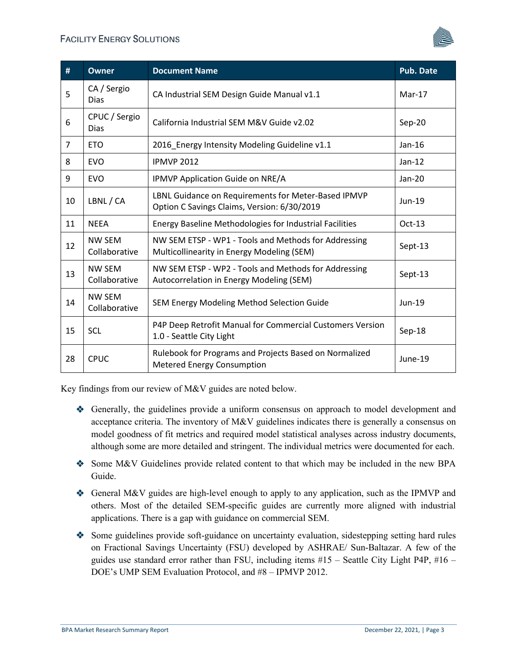### **FACILITY ENERGY SOLUTIONS**



| #              | <b>Owner</b>                   | <b>Document Name</b>                                                                               | <b>Pub. Date</b> |
|----------------|--------------------------------|----------------------------------------------------------------------------------------------------|------------------|
| 5              | CA / Sergio<br><b>Dias</b>     | CA Industrial SEM Design Guide Manual v1.1                                                         | $Mar-17$         |
| 6              | CPUC / Sergio<br><b>Dias</b>   | California Industrial SEM M&V Guide v2.02                                                          | Sep-20           |
| $\overline{7}$ | <b>ETO</b>                     | 2016 Energy Intensity Modeling Guideline v1.1                                                      | Jan-16           |
| 8              | <b>EVO</b>                     | <b>IPMVP 2012</b>                                                                                  | $Jan-12$         |
| 9              | <b>EVO</b>                     | IPMVP Application Guide on NRE/A                                                                   | $Jan-20$         |
| 10             | LBNL / CA                      | LBNL Guidance on Requirements for Meter-Based IPMVP<br>Option C Savings Claims, Version: 6/30/2019 | $Jun-19$         |
| 11             | <b>NEEA</b>                    | Energy Baseline Methodologies for Industrial Facilities                                            | $Oct-13$         |
| 12             | <b>NW SEM</b><br>Collaborative | NW SEM ETSP - WP1 - Tools and Methods for Addressing<br>Multicollinearity in Energy Modeling (SEM) | Sept-13          |
| 13             | <b>NW SEM</b><br>Collaborative | NW SEM ETSP - WP2 - Tools and Methods for Addressing<br>Autocorrelation in Energy Modeling (SEM)   | Sept-13          |
| 14             | <b>NW SEM</b><br>Collaborative | SEM Energy Modeling Method Selection Guide                                                         | $Jun-19$         |
| 15             | SCL                            | P4P Deep Retrofit Manual for Commercial Customers Version<br>1.0 - Seattle City Light              | $Sep-18$         |
| 28             | <b>CPUC</b>                    | Rulebook for Programs and Projects Based on Normalized<br>Metered Energy Consumption               | June-19          |

Key findings from our review of M&V guides are noted below.

- Generally, the guidelines provide a uniform consensus on approach to model development and acceptance criteria. The inventory of M&V guidelines indicates there is generally a consensus on model goodness of fit metrics and required model statistical analyses across industry documents, although some are more detailed and stringent. The individual metrics were documented for each.
- Some M&V Guidelines provide related content to that which may be included in the new BPA Guide.
- General M&V guides are high-level enough to apply to any application, such as the IPMVP and others. Most of the detailed SEM-specific guides are currently more aligned with industrial applications. There is a gap with guidance on commercial SEM.
- Some guidelines provide soft-guidance on uncertainty evaluation, sidestepping setting hard rules on Fractional Savings Uncertainty (FSU) developed by ASHRAE/ Sun-Baltazar. A few of the guides use standard error rather than FSU, including items  $#15 -$  Seattle City Light P4P,  $#16 -$ DOE's UMP SEM Evaluation Protocol, and #8 – IPMVP 2012.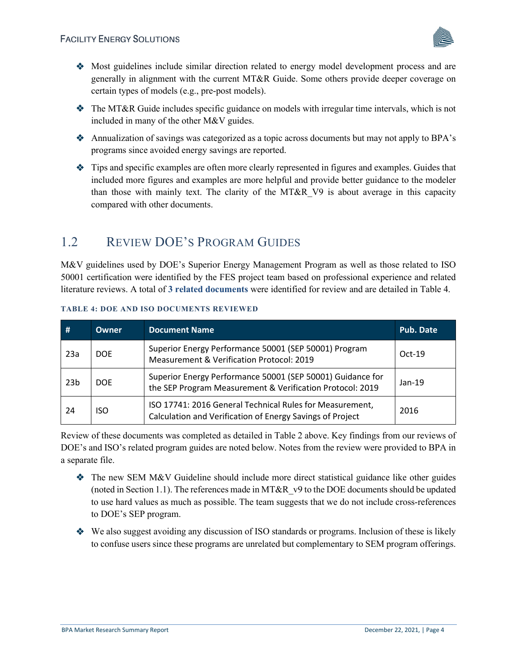

- Most guidelines include similar direction related to energy model development process and are generally in alignment with the current MT&R Guide. Some others provide deeper coverage on certain types of models (e.g., pre-post models).
- The MT&R Guide includes specific guidance on models with irregular time intervals, which is not included in many of the other M&V guides.
- Annualization of savings was categorized as a topic across documents but may not apply to BPA's programs since avoided energy savings are reported.
- Tips and specific examples are often more clearly represented in figures and examples. Guides that included more figures and examples are more helpful and provide better guidance to the modeler than those with mainly text. The clarity of the MT&R\_V9 is about average in this capacity compared with other documents.

### 1.2 REVIEW DOE'S PROGRAM GUIDES

M&V guidelines used by DOE's Superior Energy Management Program as well as those related to ISO 50001 certification were identified by the FES project team based on professional experience and related literature reviews. A total of **3 related documents** were identified for review and are detailed in Table 4.

| #               | <b>Owner</b> | <b>Document Name</b>                                                                                                    | Pub. Date |
|-----------------|--------------|-------------------------------------------------------------------------------------------------------------------------|-----------|
| 23a             | DOE          | Superior Energy Performance 50001 (SEP 50001) Program<br>Measurement & Verification Protocol: 2019                      | $Oct-19$  |
| 23 <sub>b</sub> | DOE          | Superior Energy Performance 50001 (SEP 50001) Guidance for<br>the SEP Program Measurement & Verification Protocol: 2019 | $Jan-19$  |
| 24              | <b>ISO</b>   | ISO 17741: 2016 General Technical Rules for Measurement,<br>Calculation and Verification of Energy Savings of Project   | 2016      |

### **TABLE 4: DOE AND ISO DOCUMENTS REVIEWED**

Review of these documents was completed as detailed in Table 2 above. Key findings from our reviews of DOE's and ISO's related program guides are noted below. Notes from the review were provided to BPA in a separate file.

- The new SEM M&V Guideline should include more direct statistical guidance like other guides (noted in Section 1.1). The references made in MT&R  $v9$  to the DOE documents should be updated to use hard values as much as possible. The team suggests that we do not include cross-references to DOE's SEP program.
- We also suggest avoiding any discussion of ISO standards or programs. Inclusion of these is likely to confuse users since these programs are unrelated but complementary to SEM program offerings.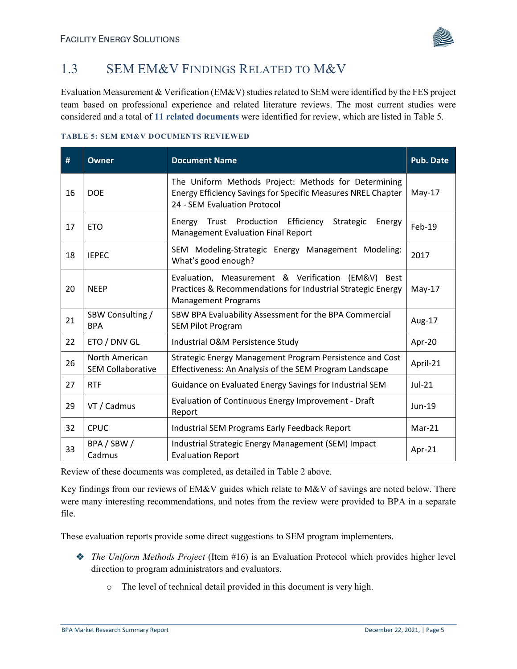

### 1.3 SEM EM&V FINDINGS RELATED TO M&V

Evaluation Measurement & Verification (EM&V) studies related to SEM were identified by the FES project team based on professional experience and related literature reviews. The most current studies were considered and a total of **11 related documents** were identified for review, which are listed in Table 5.

#### **TABLE 5: SEM EM&V DOCUMENTS REVIEWED**

| #  | <b>Owner</b>                               | <b>Document Name</b>                                                                                                                                      | <b>Pub. Date</b> |
|----|--------------------------------------------|-----------------------------------------------------------------------------------------------------------------------------------------------------------|------------------|
| 16 | <b>DOE</b>                                 | The Uniform Methods Project: Methods for Determining<br>Energy Efficiency Savings for Specific Measures NREL Chapter<br>24 - SEM Evaluation Protocol      | $May-17$         |
| 17 | <b>ETO</b>                                 | Trust Production Efficiency<br>Strategic<br>Energy<br>Energy<br>Management Evaluation Final Report                                                        | $Feb-19$         |
| 18 | <b>IEPEC</b>                               | SEM Modeling-Strategic Energy Management Modeling:<br>What's good enough?                                                                                 | 2017             |
| 20 | <b>NEEP</b>                                | Evaluation, Measurement & Verification (EM&V)<br><b>Best</b><br>Practices & Recommendations for Industrial Strategic Energy<br><b>Management Programs</b> | $May-17$         |
| 21 | SBW Consulting /<br><b>BPA</b>             | SBW BPA Evaluability Assessment for the BPA Commercial<br><b>SEM Pilot Program</b>                                                                        | Aug-17           |
| 22 | ETO / DNV GL                               | Industrial O&M Persistence Study                                                                                                                          | Apr-20           |
| 26 | North American<br><b>SEM Collaborative</b> | Strategic Energy Management Program Persistence and Cost<br>Effectiveness: An Analysis of the SEM Program Landscape                                       | April-21         |
| 27 | <b>RTF</b>                                 | Guidance on Evaluated Energy Savings for Industrial SEM                                                                                                   | $Jul-21$         |
| 29 | VT / Cadmus                                | Evaluation of Continuous Energy Improvement - Draft<br>Report                                                                                             | $Jun-19$         |
| 32 | <b>CPUC</b>                                | Industrial SEM Programs Early Feedback Report                                                                                                             | $Mar-21$         |
| 33 | BPA / SBW /<br>Cadmus                      | Industrial Strategic Energy Management (SEM) Impact<br><b>Evaluation Report</b>                                                                           | Apr-21           |

Review of these documents was completed, as detailed in Table 2 above.

Key findings from our reviews of EM&V guides which relate to M&V of savings are noted below. There were many interesting recommendations, and notes from the review were provided to BPA in a separate file.

These evaluation reports provide some direct suggestions to SEM program implementers.

- *The Uniform Methods Project* (Item #16) is an Evaluation Protocol which provides higher level direction to program administrators and evaluators.
	- o The level of technical detail provided in this document is very high.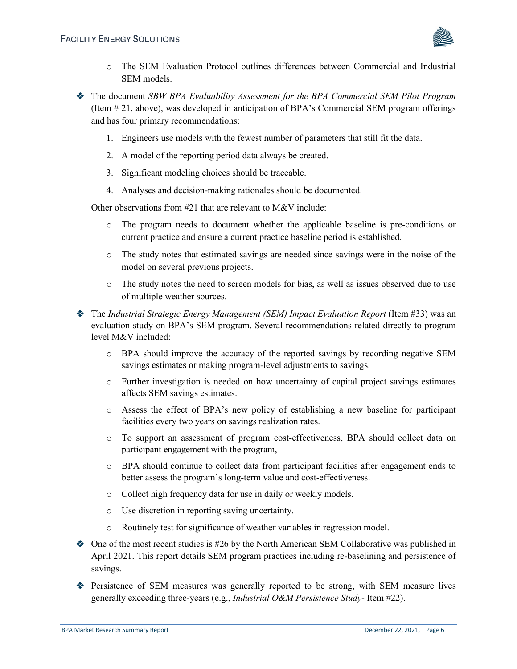

- o The SEM Evaluation Protocol outlines differences between Commercial and Industrial SEM models.
- The document *SBW BPA Evaluability Assessment for the BPA Commercial SEM Pilot Program* (Item # 21, above), was developed in anticipation of BPA's Commercial SEM program offerings and has four primary recommendations:
	- 1. Engineers use models with the fewest number of parameters that still fit the data.
	- 2. A model of the reporting period data always be created.
	- 3. Significant modeling choices should be traceable.
	- 4. Analyses and decision-making rationales should be documented.

Other observations from #21 that are relevant to M&V include:

- o The program needs to document whether the applicable baseline is pre-conditions or current practice and ensure a current practice baseline period is established.
- o The study notes that estimated savings are needed since savings were in the noise of the model on several previous projects.
- o The study notes the need to screen models for bias, as well as issues observed due to use of multiple weather sources.

 The *Industrial Strategic Energy Management (SEM) Impact Evaluation Report* (Item #33) was an evaluation study on BPA's SEM program. Several recommendations related directly to program level M&V included:

- o BPA should improve the accuracy of the reported savings by recording negative SEM savings estimates or making program-level adjustments to savings.
- o Further investigation is needed on how uncertainty of capital project savings estimates affects SEM savings estimates.
- o Assess the effect of BPA's new policy of establishing a new baseline for participant facilities every two years on savings realization rates.
- o To support an assessment of program cost-effectiveness, BPA should collect data on participant engagement with the program,
- o BPA should continue to collect data from participant facilities after engagement ends to better assess the program's long-term value and cost-effectiveness.
- o Collect high frequency data for use in daily or weekly models.
- o Use discretion in reporting saving uncertainty.
- o Routinely test for significance of weather variables in regression model.
- $\bullet$  One of the most recent studies is #26 by the North American SEM Collaborative was published in April 2021. This report details SEM program practices including re-baselining and persistence of savings.
- Persistence of SEM measures was generally reported to be strong, with SEM measure lives generally exceeding three-years (e.g., *Industrial O&M Persistence Study*- Item #22).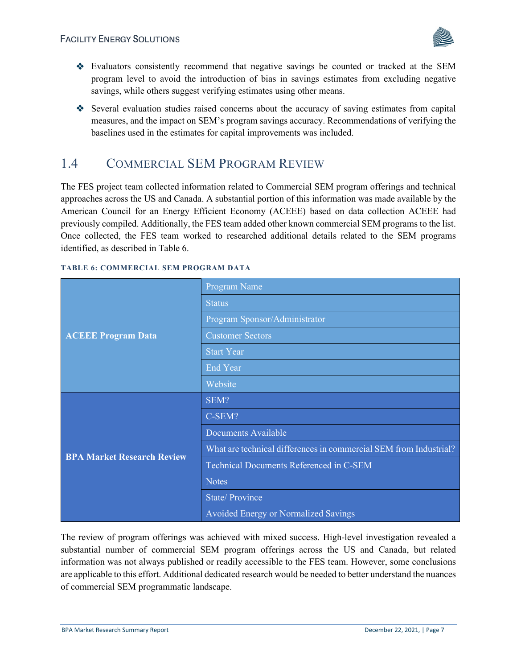

- Evaluators consistently recommend that negative savings be counted or tracked at the SEM program level to avoid the introduction of bias in savings estimates from excluding negative savings, while others suggest verifying estimates using other means.
- Several evaluation studies raised concerns about the accuracy of saving estimates from capital measures, and the impact on SEM's program savings accuracy. Recommendations of verifying the baselines used in the estimates for capital improvements was included.

### 1.4 COMMERCIAL SEM PROGRAM REVIEW

The FES project team collected information related to Commercial SEM program offerings and technical approaches across the US and Canada. A substantial portion of this information was made available by the American Council for an Energy Efficient Economy (ACEEE) based on data collection ACEEE had previously compiled. Additionally, the FES team added other known commercial SEM programs to the list. Once collected, the FES team worked to researched additional details related to the SEM programs identified, as described in Table 6.

|                                   | Program Name                                                      |
|-----------------------------------|-------------------------------------------------------------------|
|                                   | <b>Status</b>                                                     |
|                                   | Program Sponsor/Administrator                                     |
| <b>ACEEE Program Data</b>         | <b>Customer Sectors</b>                                           |
|                                   | <b>Start Year</b>                                                 |
|                                   | <b>End Year</b>                                                   |
|                                   | Website                                                           |
|                                   | SEM?                                                              |
|                                   | C-SEM?                                                            |
|                                   | Documents Available                                               |
| <b>BPA Market Research Review</b> | What are technical differences in commercial SEM from Industrial? |
|                                   | Technical Documents Referenced in C-SEM                           |
|                                   | <b>Notes</b>                                                      |
|                                   | <b>State/Province</b>                                             |
|                                   | <b>Avoided Energy or Normalized Savings</b>                       |

### **TABLE 6: COMMERCIAL SEM PROGRAM DATA**

The review of program offerings was achieved with mixed success. High-level investigation revealed a substantial number of commercial SEM program offerings across the US and Canada, but related information was not always published or readily accessible to the FES team. However, some conclusions are applicable to this effort. Additional dedicated research would be needed to better understand the nuances of commercial SEM programmatic landscape.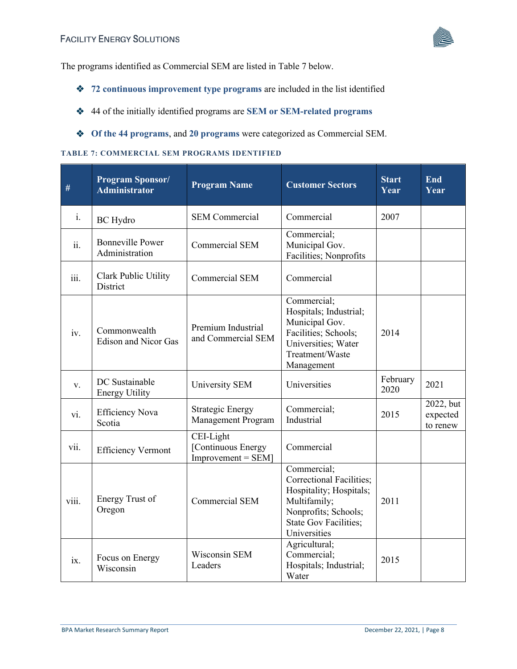### **FACILITY ENERGY SOLUTIONS**



The programs identified as Commercial SEM are listed in Table 7 below.

- **72 continuous improvement type programs** are included in the list identified
- 44 of the initially identified programs are **SEM or SEM-related programs**
- **Of the 44 programs**, and **20 programs** were categorized as Commercial SEM.

### **TABLE 7: COMMERCIAL SEM PROGRAMS IDENTIFIED**

| $\#$               | <b>Program Sponsor/</b><br><b>Administrator</b> | <b>Program Name</b>                                      | <b>Customer Sectors</b>                                                                                                                                           | <b>Start</b><br>Year | <b>End</b><br>Year                |
|--------------------|-------------------------------------------------|----------------------------------------------------------|-------------------------------------------------------------------------------------------------------------------------------------------------------------------|----------------------|-----------------------------------|
| i.                 | <b>BC</b> Hydro                                 | <b>SEM Commercial</b>                                    | Commercial                                                                                                                                                        | 2007                 |                                   |
| ii.                | <b>Bonneville Power</b><br>Administration       | Commercial SEM                                           | Commercial;<br>Municipal Gov.<br>Facilities; Nonprofits                                                                                                           |                      |                                   |
| $\overline{111}$ . | Clark Public Utility<br>District                | Commercial SEM                                           | Commercial                                                                                                                                                        |                      |                                   |
| iv.                | Commonwealth<br><b>Edison and Nicor Gas</b>     | Premium Industrial<br>and Commercial SEM                 | Commercial;<br>Hospitals; Industrial;<br>Municipal Gov.<br>Facilities; Schools;<br>Universities; Water<br>Treatment/Waste<br>Management                           | 2014                 |                                   |
| V.                 | DC Sustainable<br><b>Energy Utility</b>         | University SEM                                           | Universities                                                                                                                                                      | February<br>2020     | 2021                              |
| vi.                | <b>Efficiency Nova</b><br>Scotia                | <b>Strategic Energy</b><br>Management Program            | Commercial;<br>Industrial                                                                                                                                         | 2015                 | 2022, but<br>expected<br>to renew |
| vii.               | <b>Efficiency Vermont</b>                       | CEI-Light<br>[Continuous Energy<br>$Improvement = SEM$ ] | Commercial                                                                                                                                                        |                      |                                   |
| viii.              | Energy Trust of<br>Oregon                       | Commercial SEM                                           | Commercial;<br><b>Correctional Facilities;</b><br>Hospitality; Hospitals;<br>Multifamily;<br>Nonprofits; Schools;<br><b>State Gov Facilities;</b><br>Universities | 2011                 |                                   |
| ix.                | Focus on Energy<br>Wisconsin                    | Wisconsin SEM<br>Leaders                                 | Agricultural;<br>Commercial;<br>Hospitals; Industrial;<br>Water                                                                                                   | 2015                 |                                   |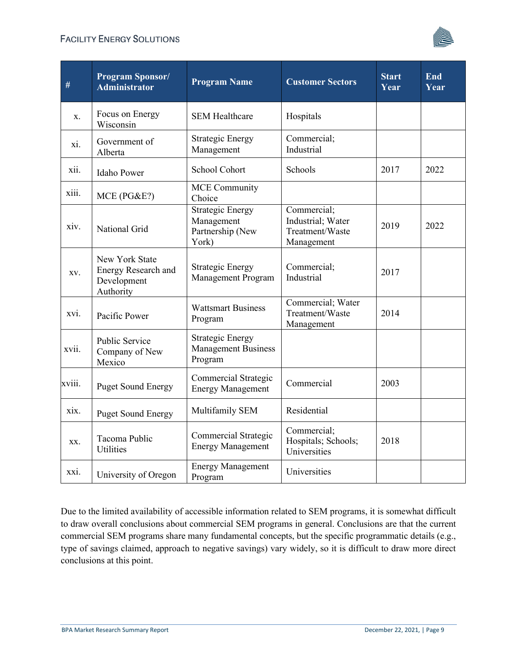

| #      | <b>Program Sponsor/</b><br><b>Administrator</b>                          | <b>Program Name</b>                                                | <b>Customer Sectors</b>                                           | <b>Start</b><br>Year | <b>End</b><br>Year |
|--------|--------------------------------------------------------------------------|--------------------------------------------------------------------|-------------------------------------------------------------------|----------------------|--------------------|
| X.     | Focus on Energy<br>Wisconsin                                             | <b>SEM Healthcare</b>                                              | Hospitals                                                         |                      |                    |
| X1.    | Government of<br>Alberta                                                 | <b>Strategic Energy</b><br>Management                              | Commercial;<br>Industrial                                         |                      |                    |
| xii.   | <b>Idaho Power</b>                                                       | School Cohort                                                      | Schools                                                           | 2017                 | 2022               |
| xiii.  | MCE (PG&E?)                                                              | MCE Community<br>Choice                                            |                                                                   |                      |                    |
| xiv.   | National Grid                                                            | <b>Strategic Energy</b><br>Management<br>Partnership (New<br>York) | Commercial;<br>Industrial; Water<br>Treatment/Waste<br>Management | 2019                 | 2022               |
| XV.    | New York State<br><b>Energy Research and</b><br>Development<br>Authority | <b>Strategic Energy</b><br>Management Program                      | Commercial;<br>Industrial                                         | 2017                 |                    |
| xvi.   | Pacific Power                                                            | <b>Wattsmart Business</b><br>Program                               | Commercial; Water<br>Treatment/Waste<br>Management                | 2014                 |                    |
| xvii.  | <b>Public Service</b><br>Company of New<br>Mexico                        | <b>Strategic Energy</b><br><b>Management Business</b><br>Program   |                                                                   |                      |                    |
| XVIII. | <b>Puget Sound Energy</b>                                                | Commercial Strategic<br><b>Energy Management</b>                   | Commercial                                                        | 2003                 |                    |
| xix.   | <b>Puget Sound Energy</b>                                                | Multifamily SEM                                                    | Residential                                                       |                      |                    |
| XX.    | Tacoma Public<br><b>Utilities</b>                                        | Commercial Strategic<br><b>Energy Management</b>                   | Commercial;<br>Hospitals; Schools;<br>Universities                | 2018                 |                    |
| xxi.   | University of Oregon                                                     | <b>Energy Management</b><br>Program                                | Universities                                                      |                      |                    |

Due to the limited availability of accessible information related to SEM programs, it is somewhat difficult to draw overall conclusions about commercial SEM programs in general. Conclusions are that the current commercial SEM programs share many fundamental concepts, but the specific programmatic details (e.g., type of savings claimed, approach to negative savings) vary widely, so it is difficult to draw more direct conclusions at this point.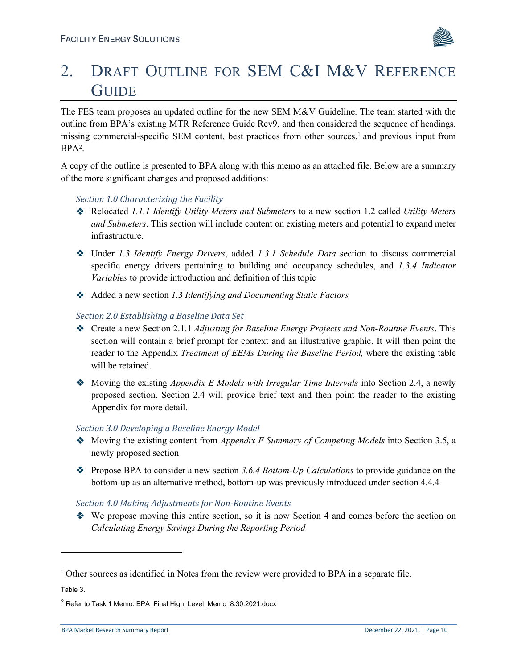

## 2. DRAFT OUTLINE FOR SEM C&I M&V REFERENCE **GUIDE**

The FES team proposes an updated outline for the new SEM M&V Guideline. The team started with the outline from BPA's existing MTR Reference Guide Rev9, and then considered the sequence of headings, missing commercial-specific SEM content, best practices from other sources, [1](#page-10-0) and previous input from  $BPA<sup>2</sup>$  $BPA<sup>2</sup>$  $BPA<sup>2</sup>$ .

A copy of the outline is presented to BPA along with this memo as an attached file. Below are a summary of the more significant changes and proposed additions:

### *Section 1.0 Characterizing the Facility*

- Relocated *1.1.1 Identify Utility Meters and Submeters* to a new section 1.2 called *Utility Meters and Submeters*. This section will include content on existing meters and potential to expand meter infrastructure.
- Under *1.3 Identify Energy Drivers*, added *1.3.1 Schedule Data* section to discuss commercial specific energy drivers pertaining to building and occupancy schedules, and *1.3.4 Indicator Variables* to provide introduction and definition of this topic
- Added a new section *1.3 Identifying and Documenting Static Factors*

### *Section 2.0 Establishing a Baseline Data Set*

- Create a new Section 2.1.1 *Adjusting for Baseline Energy Projects and Non-Routine Events*. This section will contain a brief prompt for context and an illustrative graphic. It will then point the reader to the Appendix *Treatment of EEMs During the Baseline Period,* where the existing table will be retained.
- Moving the existing *Appendix E Models with Irregular Time Intervals* into Section 2.4, a newly proposed section. Section 2.4 will provide brief text and then point the reader to the existing Appendix for more detail.

### *Section 3.0 Developing a Baseline Energy Model*

- Moving the existing content from *Appendix F Summary of Competing Models* into Section 3.5, a newly proposed section
- Propose BPA to consider a new section *3.6.4 Bottom-Up Calculations* to provide guidance on the bottom-up as an alternative method, bottom-up was previously introduced under section 4.4.4

### *Section 4.0 Making Adjustments for Non-Routine Events*

 We propose moving this entire section, so it is now Section 4 and comes before the section on *Calculating Energy Savings During the Reporting Period*

[Table 3.](#page-2-0)

<span id="page-10-0"></span><sup>1</sup> Other sources as identified in Notes from the review were [provided to BPA in a separate file.](#page-2-0)

<span id="page-10-1"></span><sup>2</sup> Refer to Task 1 Memo: BPA\_Final High\_Level\_Memo\_8.30.2021.docx